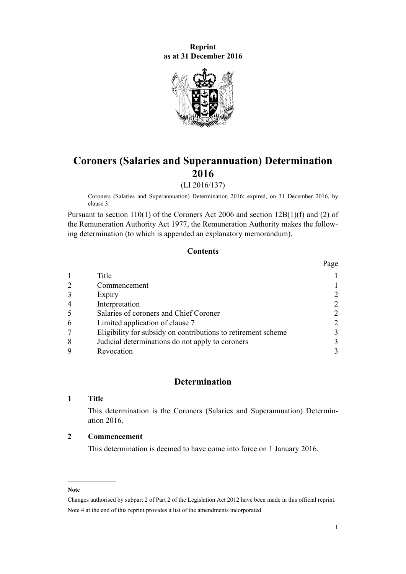### **Reprint as at 31 December 2016**



# **Coroners (Salaries and Superannuation) Determination 2016**

(LI 2016/137)

Coroners (Salaries and Superannuation) Determination 2016: expired, on 31 December 2016, by [clause 3](#page-1-0).

Pursuant to [section 110\(1\)](http://prd-lgnz-nlb.prd.pco.net.nz/pdflink.aspx?id=DLM377862) of the Coroners Act 2006 and [section 12B\(1\)\(f\) and \(2\)](http://prd-lgnz-nlb.prd.pco.net.nz/pdflink.aspx?id=DLM16119) of the Remuneration Authority Act 1977, the Remuneration Authority makes the following determination (to which is appended an [explanatory memorandum](#page-3-0)).

## **Contents**

|                |                                                               | Page |
|----------------|---------------------------------------------------------------|------|
|                | Title                                                         |      |
| 2              | Commencement                                                  |      |
| 3              | Expiry                                                        |      |
| $\overline{4}$ | Interpretation                                                | 2    |
| 5              | Salaries of coroners and Chief Coroner                        |      |
| 6              | Limited application of clause 7                               |      |
|                | Eligibility for subsidy on contributions to retirement scheme |      |
| 8              | Judicial determinations do not apply to coroners              |      |
| Q              | Revocation                                                    |      |

## **Determination**

#### **1 Title**

This determination is the Coroners (Salaries and Superannuation) Determination 2016.

#### **2 Commencement**

This determination is deemed to have come into force on 1 January 2016.

#### **Note**

Changes authorised by [subpart 2](http://prd-lgnz-nlb.prd.pco.net.nz/pdflink.aspx?id=DLM2998524) of Part 2 of the Legislation Act 2012 have been made in this official reprint. Note 4 at the end of this reprint provides a list of the amendments incorporated.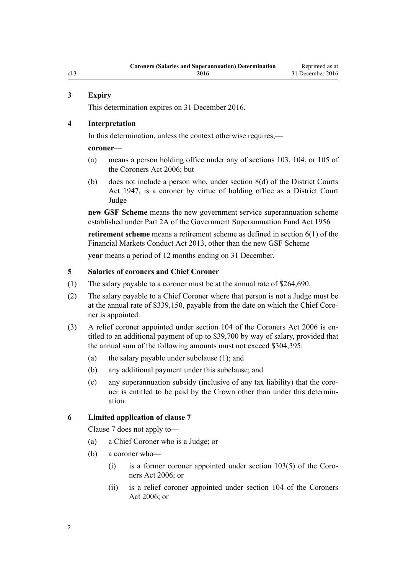#### <span id="page-1-0"></span>**3 Expiry**

This determination expires on 31 December 2016.

#### **4 Interpretation**

In this determination, unless the context otherwise requires,—

**coroner**—

- (a) means a person holding office under any of [sections 103](http://prd-lgnz-nlb.prd.pco.net.nz/pdflink.aspx?id=DLM377850), [104,](http://prd-lgnz-nlb.prd.pco.net.nz/pdflink.aspx?id=DLM377853) or [105](http://prd-lgnz-nlb.prd.pco.net.nz/pdflink.aspx?id=DLM377856) of the Coroners Act 2006; but
- (b) does not include a person who, under section  $8(d)$  of the District Courts Act 1947, is a coroner by virtue of holding office as a District Court Judge

**new GSF Scheme** means the new government service superannuation scheme established under [Part 2A](http://prd-lgnz-nlb.prd.pco.net.nz/pdflink.aspx?id=DLM446842) of the Government Superannuation Fund Act 1956

**retirement scheme** means a retirement scheme as defined in [section 6\(1\)](http://prd-lgnz-nlb.prd.pco.net.nz/pdflink.aspx?id=DLM4090590) of the Financial Markets Conduct Act 2013, other than the new GSF Scheme

**year** means a period of 12 months ending on 31 December.

#### **5 Salaries of coroners and Chief Coroner**

- (1) The salary payable to a coroner must be at the annual rate of \$264,690.
- (2) The salary payable to a Chief Coroner where that person is not a Judge must be at the annual rate of \$339,150, payable from the date on which the Chief Coroner is appointed.
- (3) A relief coroner appointed under [section 104](http://prd-lgnz-nlb.prd.pco.net.nz/pdflink.aspx?id=DLM377853) of the Coroners Act 2006 is entitled to an additional payment of up to \$39,700 by way of salary, provided that the annual sum of the following amounts must not exceed \$304,395:
	- (a) the salary payable under subclause (1); and
	- (b) any additional payment under this subclause; and
	- (c) any superannuation subsidy (inclusive of any tax liability) that the coroner is entitled to be paid by the Crown other than under this determination.

#### **6 Limited application of clause 7**

[Clause 7](#page-2-0) does not apply to—

- (a) a Chief Coroner who is a Judge; or
- (b) a coroner who—
	- (i) is a former coroner appointed under [section 103\(5\)](http://prd-lgnz-nlb.prd.pco.net.nz/pdflink.aspx?id=DLM377850) of the Coroners Act 2006; or
	- (ii) is a relief coroner appointed under [section 104](http://prd-lgnz-nlb.prd.pco.net.nz/pdflink.aspx?id=DLM377853) of the Coroners Act 2006; or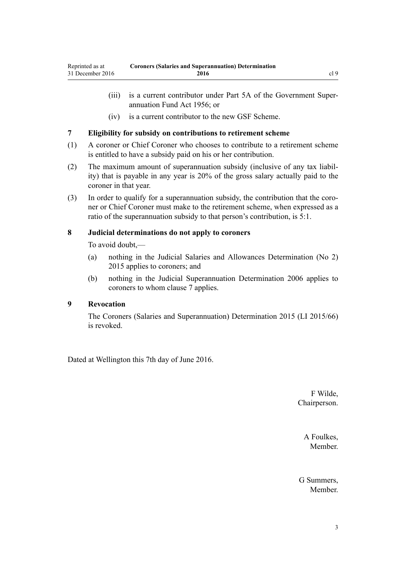- <span id="page-2-0"></span>(iii) is a current contributor under [Part 5A](http://prd-lgnz-nlb.prd.pco.net.nz/pdflink.aspx?id=DLM447398) of the Government Superannuation Fund Act 1956; or
- (iv) is a current contributor to the new GSF Scheme.

#### **7 Eligibility for subsidy on contributions to retirement scheme**

- (1) A coroner or Chief Coroner who chooses to contribute to a retirement scheme is entitled to have a subsidy paid on his or her contribution.
- (2) The maximum amount of superannuation subsidy (inclusive of any tax liability) that is payable in any year is 20% of the gross salary actually paid to the coroner in that year.
- (3) In order to qualify for a superannuation subsidy, the contribution that the coroner or Chief Coroner must make to the retirement scheme, when expressed as a ratio of the superannuation subsidy to that person's contribution, is 5:1.

#### **8 Judicial determinations do not apply to coroners**

To avoid doubt,—

- (a) nothing in the [Judicial Salaries and Allowances Determination \(No 2\)](http://prd-lgnz-nlb.prd.pco.net.nz/pdflink.aspx?id=DLM6689000) [2015](http://prd-lgnz-nlb.prd.pco.net.nz/pdflink.aspx?id=DLM6689000) applies to coroners; and
- (b) nothing in the [Judicial Superannuation Determination 2006](http://prd-lgnz-nlb.prd.pco.net.nz/pdflink.aspx?id=DLM369327) applies to coroners to whom clause 7 applies.

## **9 Revocation**

The [Coroners \(Salaries and Superannuation\) Determination 2015](http://prd-lgnz-nlb.prd.pco.net.nz/pdflink.aspx?id=DLM6418319) (LI 2015/66) is revoked.

Dated at Wellington this 7th day of June 2016.

F Wilde, Chairperson.

> A Foulkes, **Member**

G Summers, **Member**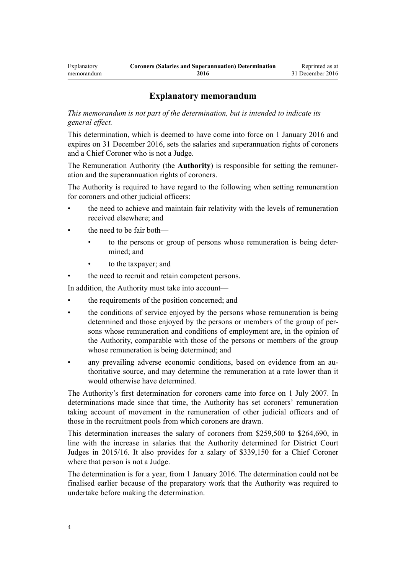# **Explanatory memorandum**

<span id="page-3-0"></span>*This memorandum is not part of the determination, but is intended to indicate its general effect.*

This determination, which is deemed to have come into force on 1 January 2016 and expires on 31 December 2016, sets the salaries and superannuation rights of coroners and a Chief Coroner who is not a Judge.

The Remuneration Authority (the **Authority**) is responsible for setting the remuneration and the superannuation rights of coroners.

The Authority is required to have regard to the following when setting remuneration for coroners and other judicial officers:

- the need to achieve and maintain fair relativity with the levels of remuneration received elsewhere; and
- the need to be fair both—
	- to the persons or group of persons whose remuneration is being determined; and
	- to the taxpayer; and
- the need to recruit and retain competent persons.

In addition, the Authority must take into account—

- the requirements of the position concerned; and
- the conditions of service enjoyed by the persons whose remuneration is being determined and those enjoyed by the persons or members of the group of persons whose remuneration and conditions of employment are, in the opinion of the Authority, comparable with those of the persons or members of the group whose remuneration is being determined; and
- any prevailing adverse economic conditions, based on evidence from an authoritative source, and may determine the remuneration at a rate lower than it would otherwise have determined.

The Authority's first determination for coroners came into force on 1 July 2007. In determinations made since that time, the Authority has set coroners' remuneration taking account of movement in the remuneration of other judicial officers and of those in the recruitment pools from which coroners are drawn.

This determination increases the salary of coroners from \$259,500 to \$264,690, in line with the increase in salaries that the Authority determined for District Court Judges in 2015/16. It also provides for a salary of \$339,150 for a Chief Coroner where that person is not a Judge.

The determination is for a year, from 1 January 2016. The determination could not be finalised earlier because of the preparatory work that the Authority was required to undertake before making the determination.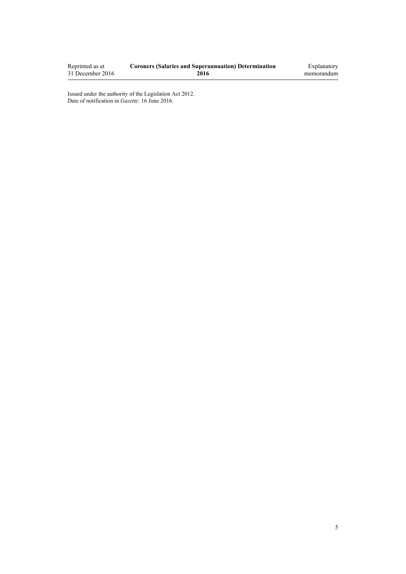| Reprinted as at  | <b>Coroners (Salaries and Superannuation) Determination</b> | Explanatory |
|------------------|-------------------------------------------------------------|-------------|
| 31 December 2016 | 2016                                                        | memorandum  |

Issued under the authority of the [Legislation Act 2012](http://prd-lgnz-nlb.prd.pco.net.nz/pdflink.aspx?id=DLM2997643). Date of notification in *Gazette*: 16 June 2016.